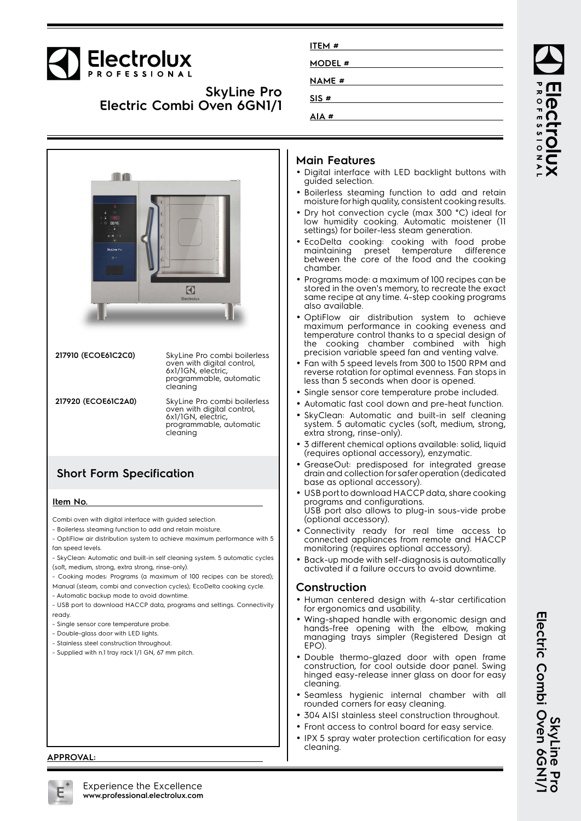# Electrolux

### **SkyLine Pro Electric Combi Oven 6GN1/1**

| ITEM #        |  |
|---------------|--|
| <b>MODEL#</b> |  |
| <b>NAME #</b> |  |
| SIS#          |  |
|               |  |
| AIA#          |  |



#### **Main Features**

- Digital interface with LED backlight buttons with guided selection.
- Boilerless steaming function to add and retain moisture for high quality, consistent cooking results.
- • Dry hot convection cycle (max 300 °C) ideal for low humidity cooking. Automatic moistener (11 settings) for boiler-less steam generation.
- EcoDelta cooking: cooking with food probe maintaining preset temperature difference between the core of the food and the cooking chamber.
- • Programs mode: a maximum of 100 recipes can be stored in the oven's memory, to recreate the exact same recipe at any time. 4-step cooking programs also available.
- • OptiFlow air distribution system to achieve maximum performance in cooking eveness and temperature control thanks to a special design of the cooking chamber combined with high precision variable speed fan and venting valve.
- Fan with 5 speed levels from 300 to 1500 RPM and reverse rotation for optimal evenness. Fan stops in less than 5 seconds when door is opened.
- Single sensor core temperature probe included.
- •Automatic fast cool down and pre-heat function.
- • SkyClean: Automatic and built-in self cleaning system. 5 automatic cycles (soft, medium, strong, extra strong, rinse-only).
- • 3 different chemical options available: solid, liquid (requires optional accessory), enzymatic.
- • GreaseOut: predisposed for integrated grease drain and collection for safer operation (dedicated base as optional accessory).
- USB port to download HACCP data, share cooking programs and configurations. USB port also allows to plug-in sous-vide probe (optional accessory).
- • Connectivity ready for real time access to connected appliances from remote and HACCP monitoring (requires optional accessory).
- Back-up mode with self-diagnosis is automatically activated if a failure occurs to avoid downtime.

#### **Construction**

- Human centered design with 4-star certification for ergonomics and usability.
- Wing-shaped handle with ergonomic design and hands-free opening with the elbow, making managing trays simpler (Registered Design at EPO).
- Double thermo-glazed door with open frame construction, for cool outside door panel. Swing hinged easy-release inner glass on door for easy cleaning.
- Seamless hygienic internal chamber with all rounded corners for easy cleaning.
- •304 AISI stainless steel construction throughout.
- Front access to control board for easy service.
- • IPX 5 spray water protection certification for easy cleaning.

ROFESSIONA

**APPROVAL:**

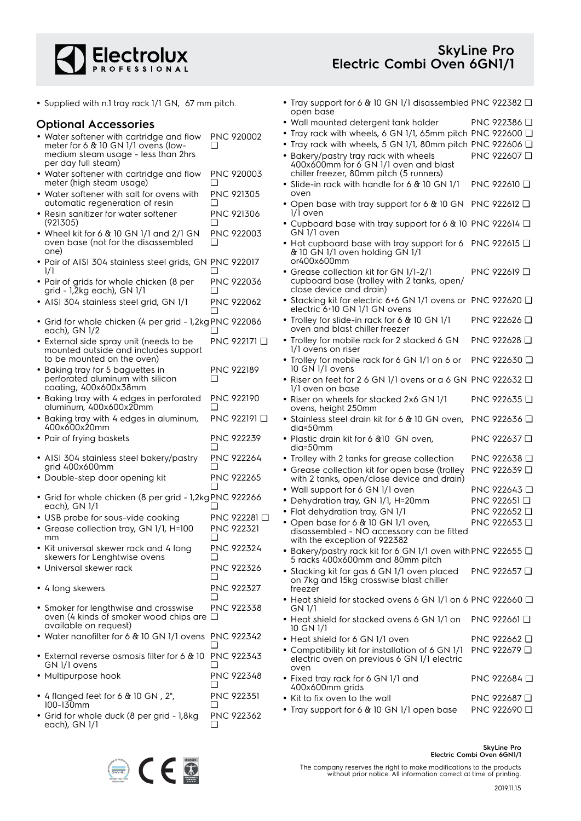

• Supplied with n.1 tray rack 1/1 GN, 67 mm pitch.

#### **Optional Accessories**

| • Water softener with cartridge and flow | <b>PNC 920002</b> |
|------------------------------------------|-------------------|
| meter for 6 & 10 GN 1/1 ovens (low-      |                   |
| medium steam usage - less than 2hrs      |                   |
| per day full steam)                      |                   |

- Water softener with cartridge and flow meter (high steam usage) PNC 920003 ❑
- Water softener with salt for ovens with automatic regeneration of resin PNC 921305 ❑
- Resin sanitizer for water softener (921305) PNC 921306 ❑
- Wheel kit for 6 & 10 GN 1/1 and 2/1 GN oven base (not for the disassembled one) PNC 922003 ❑
- Pair of AISI 304 stainless steel grids, GN PNC 922017 1/1  $\Box$
- Pair of grids for whole chicken (8 per grid - 1,2kg each), GN 1/1 PNC 922036  $\Box$
- AISI 304 stainless steel grid, GN 1/1 PNC 922062 ❑
- Grid for whole chicken (4 per grid 1,2kg PNC 922086 each), GN 1/2 ❑
- External side spray unit (needs to be mounted outside and includes support to be mounted on the oven) PNC 922171 ❑
- Baking tray for 5 baguettes in perforated aluminum with silicon coating, 400x600x38mm PNC 922189  $\Box$
- Baking tray with 4 edges in perforated aluminum, 400x600x20mm PNC 922190 ❑
- Baking tray with 4 edges in aluminum, 400x600x20mm PNC 922191 ❑
- Pair of frying baskets PNC 922239 ❑
- AISI 304 stainless steel bakery/pastry grid 400x600mm PNC 922264 ❑
- Double-step door opening kit PNC 922265 ❑
- Grid for whole chicken (8 per grid 1,2kg PNC 922266 each), GN 1/1 ❑
- USB probe for sous-vide cooking PNC 922281 ❑
- Grease collection tray, GN 1/1, H=100 mm PNC 922321  $\Box$
- Kit universal skewer rack and 4 long skewers for Lenghtwise ovens PNC 922324  $\Box$
- Universal skewer rack PNC 922326  $\Box$
- 4 long skewers PNC 922327 ❑
- Smoker for lengthwise and crosswise oven (4 kinds of smoker wood chips are ❑ available on request) PNC 922338
- Water nanofilter for 6 & 10 GN 1/1 ovens PNC 922342
- ❑ • External reverse osmosis filter for 6 & 10 GN 1/1 ovens PNC 922343  $\Box$
- Multipurpose hook PNC 922348  $\Box$
- 4 flanged feet for 6 & 10 GN , 2", 100-130mm PNC 922351 ❑ PNC 922362
- Grid for whole duck (8 per grid 1,8kg each), GN 1/1  $\Box$



- Wall mounted detergent tank holder PNC 922386 ❑
- Tray rack with wheels, 6 GN 1/1, 65mm pitch PNC 922600 ❑
- Tray rack with wheels, 5 GN 1/1, 80mm pitch PNC 922606 ❑ • Bakery/pastry tray rack with wheels 400x600mm for 6 GN 1/1 oven and blast PNC 922607 ❑
- chiller freezer, 80mm pitch (5 runners) • Slide-in rack with handle for 6 & 10 GN 1/1 oven PNC 922610 ❑
- • Open base with tray support for 6 & 10 GN 1/1 oven PNC 922612 ❑
- • Cupboard base with tray support for 6 & 10 PNC 922614 ❑ GN 1/1 oven
- Hot cupboard base with tray support for 6 PNC 922615 ❑ & 10 GN 1/1 oven holding GN 1/1 or400x600mm
- Grease collection kit for GN 1/1-2/1 cupboard base (trolley with 2 tanks, open/ close device and drain) PNC 922619 ❑
- • Stacking kit for electric 6+6 GN 1/1 ovens or PNC 922620 ❑ electric 6+10 GN 1/1 GN ovens
- Trolley for slide-in rack for 6 & 10 GN 1/1 oven and blast chiller freezer PNC 922626 ❑
- • Trolley for mobile rack for 2 stacked 6 GN 1/1 ovens on riser PNC 922628 ❑
- • Trolley for mobile rack for 6 GN 1/1 on 6 or 10 GN 1/1 ovens PNC 922630 ❑
- Riser on feet for 2 6 GN 1/1 ovens or a 6 GN PNC 922632 ❑ 1/1 oven on base
- Riser on wheels for stacked 2x6 GN 1/1 ovens, height 250mm PNC 922635 ❑
- Stainless steel drain kit for 6 & 10 GN oven, dia=50mm PNC 922636 ❑
- Plastic drain kit for 6 &10 GN oven, dia=50mm PNC 922637 ❑
- • Trolley with 2 tanks for grease collection PNC 922638 ❑ •
	- Grease collection kit for open base (trolley with 2 tanks, open/close device and drain) PNC 922639 ❑
- Wall support for 6 GN 1/1 oven PNC 922643 □
- Dehydration tray, GN 1/1, H=20mm PNC 922651 ❑
- Flat dehydration tray, GN 1/1 PNC 922652 ❑ PNC 922653 ❑
- • Open base for 6 & 10 GN 1/1 oven, disassembled - NO accessory can be fitted with the exception of 922382
- Bakery/pastry rack kit for 6 GN 1/1 oven with PNC 922655 ❑ 5 racks 400x600mm and 80mm pitch
- Stacking kit for gas 6 GN 1/1 oven placed on 7kg and 15kg crosswise blast chiller freezer PNC 922657 ❑
- Heat shield for stacked ovens 6 GN 1/1 on 6 PNC 922660 ❑ GN 1/1
- Heat shield for stacked ovens 6 GN 1/1 on 10 GN 1/1 PNC 922661 ❑
- Heat shield for 6 GN 1/1 oven PNC 922662 □ • Compatibility kit for installation of 6 GN 1/1 PNC 922679 ❑
- electric oven on previous 6 GN 1/1 electric oven
- Fixed tray rack for 6 GN 1/1 and 400x600mm grids PNC 922684 ❑ • Kit to fix oven to the wall PNC 922687 ❑
- Tray support for 6 & 10 GN 1/1 open base PNC 922690 ❑



The company reserves the right to make modifications to the products without prior notice. All information correct at time of printing.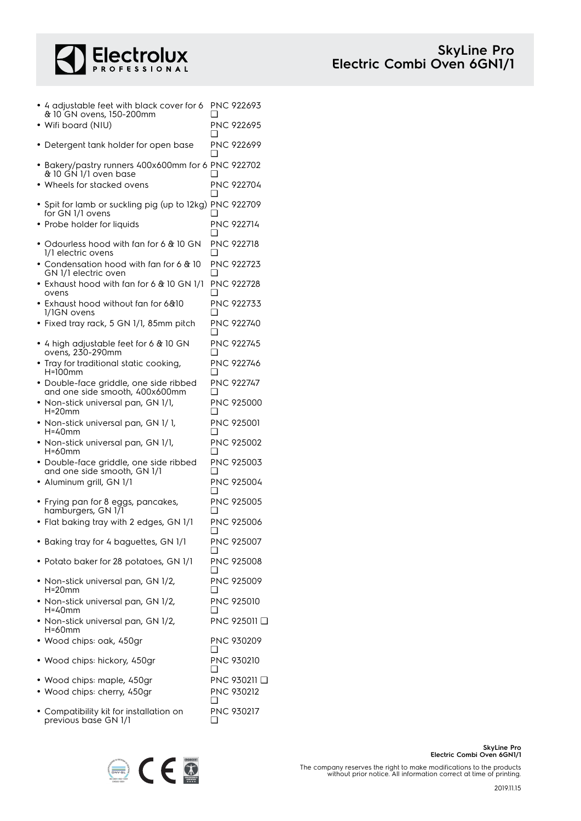

| • 4 adjustable feet with black cover for 6<br>& 10 GN ovens, 150-200mm      | ப      | <b>PNC 922693</b>          |
|-----------------------------------------------------------------------------|--------|----------------------------|
| • Wifi board (NIU)                                                          |        | PNC 922695                 |
| • Detergent tank holder for open base                                       |        | PNC 922699                 |
| • Bakery/pastry runners 400x600mm for 6 PNC 922702<br>& 10 GN 1/1 oven base |        |                            |
| • Wheels for stacked ovens                                                  | ı 1    | <b>PNC 922704</b>          |
| • Spit for lamb or suckling pig (up to 12kg) PNC 922709<br>for GN 1/1 ovens |        |                            |
| • Probe holder for liquids                                                  |        | <b>PNC 922714</b>          |
| • Odourless hood with fan for 6 & 10 GN<br>1/1 electric ovens               | □      | PNC 922718                 |
| • Condensation hood with fan for 6 & 10<br>GN 1/1 electric oven             | □      | PNC 922723                 |
| • Exhaust hood with fan for 6 & 10 GN 1/1<br>ovens                          |        | PNC 922728                 |
| • Exhaust hood without fan for 6&10<br>1/1GN ovens                          | □      | PNC 922733                 |
| · Fixed tray rack, 5 GN 1/1, 85mm pitch                                     | H      | <b>PNC 922740</b>          |
| $\bullet$ 4 high adjustable feet for 6 & 10 GN<br>ovens, 230-290mm          |        | PNC 922745                 |
| • Tray for traditional static cooking,<br>H=100mm                           | ப      | <b>PNC 922746</b>          |
| · Double-face griddle, one side ribbed<br>and one side smooth, 400x600mm    | ∣ 1    | PNC 922747                 |
| • Non-stick universal pan, GN 1/1,<br>H=20mm                                | ∣ 1    | <b>PNC 925000</b>          |
| • Non-stick universal pan, GN 1/1,<br>H=40mm                                |        | <b>PNC 925001</b>          |
| · Non-stick universal pan, GN 1/1,<br>H=60mm                                | □      | PNC 925002                 |
| · Double-face griddle, one side ribbed<br>and one side smooth, GN 1/1       | ப      | <b>PNC 925003</b>          |
| Aluminum grill, GN 1/1                                                      |        | PNC 925004                 |
| • Frying pan for 8 eggs, pancakes,<br>hamburgers, GN 171                    |        | <b>PNC 925005</b>          |
| · Flat baking tray with 2 edges, GN 1/1                                     |        | PNC 925006                 |
| · Baking tray for 4 baguettes, GN 1/1                                       | ⊔      | PNC 925007                 |
| · Potato baker for 28 potatoes, GN 1/1                                      | ப      | <b>PNC 925008</b>          |
| • Non-stick universal pan, GN 1/2,<br>H=20mm                                | ப      | PNC 925009                 |
| • Non-stick universal pan, GN 1/2,<br>H=40mm                                | $\Box$ | <b>PNC 925010</b>          |
| • Non-stick universal pan, GN 1/2,<br>H=60mm                                |        | PNC 925011 □               |
| • Wood chips: oak, 450gr                                                    | ப      | PNC 930209                 |
| • Wood chips: hickory, 450gr                                                | ❏      | PNC 930210                 |
| • Wood chips: maple, 450gr<br>· Wood chips: cherry, 450gr                   | ப      | PNC 930211 ❑<br>PNC 930212 |
| • Compatibility kit for installation on<br>previous base GN 1/1             | ப      | PNC 930217                 |



The company reserves the right to make modifications to the products without prior notice. All information correct at time of printing.